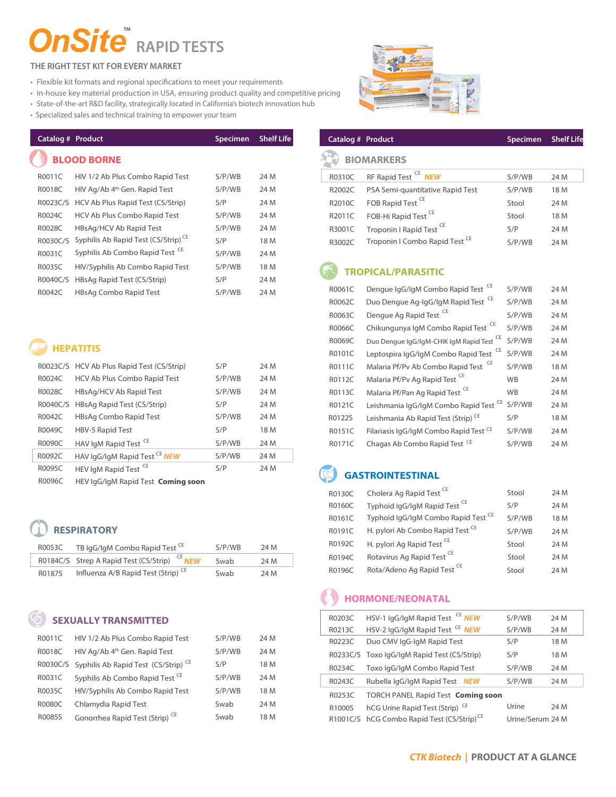## **TM RAPID TESTS**

## **THE RIGHT TEST KIT FOR EVERY MARKET**

- Flexible kit formats and regional specifications to meet your requirements
- In-house key material production in USA, ensuring product quality and competitive pricing
- State-of-the-art R&D facility, strategically located in California's biotech innovation hub
- Specialized sales and technical training to empower your team

| Catalog # Product |                                                 | <b>Specimen</b> | <b>Shelf Life</b> |
|-------------------|-------------------------------------------------|-----------------|-------------------|
|                   | <b>BLOOD BORNE</b>                              |                 |                   |
| R0011C            | HIV 1/2 Ab Plus Combo Rapid Test                | S/P/WB          | 24 M              |
| R0018C            | HIV Ag/Ab 4 <sup>th</sup> Gen. Rapid Test       | S/P/WB          | 24 M              |
| R0023C/S          | HCV Ab Plus Rapid Test (CS/Strip)               | S/P             | 24 M              |
| R0024C            | HCV Ab Plus Combo Rapid Test                    | S/P/WB          | 24 M              |
| R0028C            | HBsAg/HCV Ab Rapid Test                         | S/P/WB          | 24 M              |
| R0030C/S          | Syphilis Ab Rapid Test (CS/Strip) <sup>CE</sup> | S/P             | 18 M              |
| R0031C            | Syphilis Ab Combo Rapid Test <sup>CE</sup>      | S/P/WB          | 24 M              |
| R0035C            | HIV/Syphilis Ab Combo Rapid Test                | S/P/WB          | 18 M              |
| R0040C/S          | HBsAg Rapid Test (CS/Strip)                     | S/P             | 24 M              |
| R0042C            | HBsAg Combo Rapid Test                          | S/P/WB          | 24 M              |

## **HEPATITIS**

|              | R0023C/S HCV Ab Plus Rapid Test (CS/Strip) | S/P    | 24 M |
|--------------|--------------------------------------------|--------|------|
| R0024C       | HCV Ab Plus Combo Rapid Test               | S/P/WB | 24 M |
| R0028C       | HBsAg/HCV Ab Rapid Test                    | S/P/WB | 24 M |
|              | R0040C/S HBsAq Rapid Test (CS/Strip)       | S/P    | 24 M |
| R0042C       | HBsAg Combo Rapid Test                     | S/P/WB | 24 M |
| R0049C       | <b>HBV-5 Rapid Test</b>                    | S/P    | 18 M |
| R0090C       | HAV IgM Rapid Test <sup>CE</sup>           | S/P/WB | 24 M |
| R0092C       | HAV IgG/IgM Rapid Test CE NEW              | S/P/WB | 24 M |
| R0095C       | HEV IgM Rapid Test <sup>CE</sup>           | S/P    | 24 M |
| $P^{\alpha}$ |                                            |        |      |

R0096C HEV IgG/IgM Rapid Test Coming soon

| R0053C | TB IgG/IgM Combo Rapid Test <sup>CE</sup>                | S/P/WR | 24 M |
|--------|----------------------------------------------------------|--------|------|
|        | R0184C/S Strep A Rapid Test (CS/Strip) <sup>CE</sup> NEW | Swab   | 24 M |
| R0187S | Influenza A/B Rapid Test (Strip) <sup>CE</sup>           | Swab   | 24 M |

| R0011C | HIV 1/2 Ab Plus Combo Rapid Test                         | S/P/WB | 24 M |
|--------|----------------------------------------------------------|--------|------|
| R0018C | HIV Ag/Ab 4th Gen. Rapid Test                            | S/P/WB | 24 M |
|        | R0030C/S Syphilis Ab Rapid Test (CS/Strip) <sup>CE</sup> | S/P    | 18 M |
| R0031C | Syphilis Ab Combo Rapid Test <sup>CE</sup>               | S/P/WB | 24 M |
| R0035C | HIV/Syphilis Ab Combo Rapid Test                         | S/P/WB | 18 M |
| R0080C | Chlamydia Rapid Test                                     | Swab   | 24 M |
| R0085S | Gonorrhea Rapid Test (Strip) <sup>CE</sup>               | Swab   | 18 M |



## **Catalog # Product Specimen Shelf Life**

## **BIOMARKERS**

|        | R0310C RF Rapid Test CE NEW                      | S/P/WB | 24 M |
|--------|--------------------------------------------------|--------|------|
| R2002C | PSA Semi-quantitative Rapid Test                 | S/P/WB | 18 M |
| R2010C | FOB Rapid Test <sup>CE</sup>                     | Stool  | 24 M |
|        | R2011C FOB-Hi Rapid Test <sup>CE</sup>           | Stool  | 18 M |
| R3001C | Troponin I Rapid Test CE                         | S/P    | 24 M |
|        | R3002C Troponin I Combo Rapid Test <sup>CE</sup> | S/P/WB | 24 M |

| R0061C | Dengue IgG/IgM Combo Rapid Test <sup>CE</sup>        | S/P/WB    | 24 M |
|--------|------------------------------------------------------|-----------|------|
| R0062C | Duo Dengue Ag-IgG/IgM Rapid Test <sup>CE</sup>       | S/P/WB    | 24 M |
| R0063C | Dengue Ag Rapid Test <sup>CE</sup>                   | S/P/WB    | 24 M |
| R0066C | Chikungunya IgM Combo Rapid Test <sup>CE</sup>       | S/P/WB    | 24 M |
| R0069C | Duo Dengue IgG/IgM-CHIK IgM Rapid Test <sup>CE</sup> | S/P/WB    | 24 M |
| R0101C | Leptospira IgG/IgM Combo Rapid Test <sup>CE</sup>    | S/P/WB    | 24 M |
| R0111C | Malaria Pf/Py Ab Combo Rapid Test                    | S/P/WB    | 18 M |
| R0112C | Malaria Pf/Pv Ag Rapid Test <sup>CE</sup>            | <b>WB</b> | 24 M |
| R0113C | Malaria Pf/Pan Ag Rapid Test <sup>CE</sup>           | <b>WB</b> | 24 M |
| R0121C | Leishmania IgG/IgM Combo Rapid Test <sup>CE</sup>    | S/P/WB    | 24 M |
| R0122S | Leishmania Ab Rapid Test (Strip) <sup>CE</sup>       | S/P       | 18 M |
| R0151C | Filariasis IgG/IgM Combo Rapid Test CE               | S/P/WB    | 24 M |
| R0171C | Chagas Ab Combo Rapid Test <sup>CE</sup>             | S/P/WB    | 24 M |
|        |                                                      |           |      |

| Coming soon             |        |      |        |                                             |        |      |
|-------------------------|--------|------|--------|---------------------------------------------|--------|------|
|                         |        |      | R0130C | Cholera Ag Rapid Test <sup>CE</sup>         | Stool  | 24 M |
|                         |        |      | R0160C | Typhoid IgG/IgM Rapid Test <sup>CE</sup>    | S/P    | 24 M |
|                         |        |      | R0161C | Typhoid IqG/IqM Combo Rapid Test CE         | S/P/WB | 18 M |
|                         |        |      | R0191C | H. pylori Ab Combo Rapid Test <sup>CE</sup> | S/P/WB | 24 M |
| l Test <sup>CE</sup>    | S/P/WB | 24 M | R0192C | H. pylori Ag Rapid Test <sup>CE</sup>       | Stool  | 24 M |
| (rip:<br><b>NEW</b>     | Swab   | 24 M | R0194C | Rotavirus Ag Rapid Test <sup>CE</sup>       | Stool  | 24 M |
| $(Strin)$ <sup>CE</sup> | Swah   | 24M  | R0196C | Rota/Adeno Ag Rapid Test <sup>CE</sup>      | Stool  | 24 M |

## **HORMONE/NEONATAL**

| R0203C | HSV-1 lgG/lgM Rapid Test <sup>CE</sup> NEW             | S/P/WB           | 24 M |
|--------|--------------------------------------------------------|------------------|------|
| R0213C | HSV-2 lgG/lgM Rapid Test <sup>CE</sup> NEW             | S/P/WB           | 24 M |
| R0223C | Duo CMV IgG-IgM Rapid Test                             | S/P              | 18 M |
|        | R0233C/S Toxo IqG/IqM Rapid Test (CS/Strip)            | S/P              | 18 M |
| R0234C | Toxo IqG/IqM Combo Rapid Test                          | S/P/WB           | 24 M |
| R0243C | Rubella IqG/IqM Rapid Test NEW                         | S/P/WB           | 24 M |
| R0253C | <b>TORCH PANEL Rapid Test Coming soon</b>              |                  |      |
| R1000S | hCG Urine Rapid Test (Strip) <sup>CE</sup>             | Urine            | 24 M |
|        | R1001C/S hCG Combo Rapid Test (CS/Strip) <sup>CE</sup> | Urine/Serum 24 M |      |